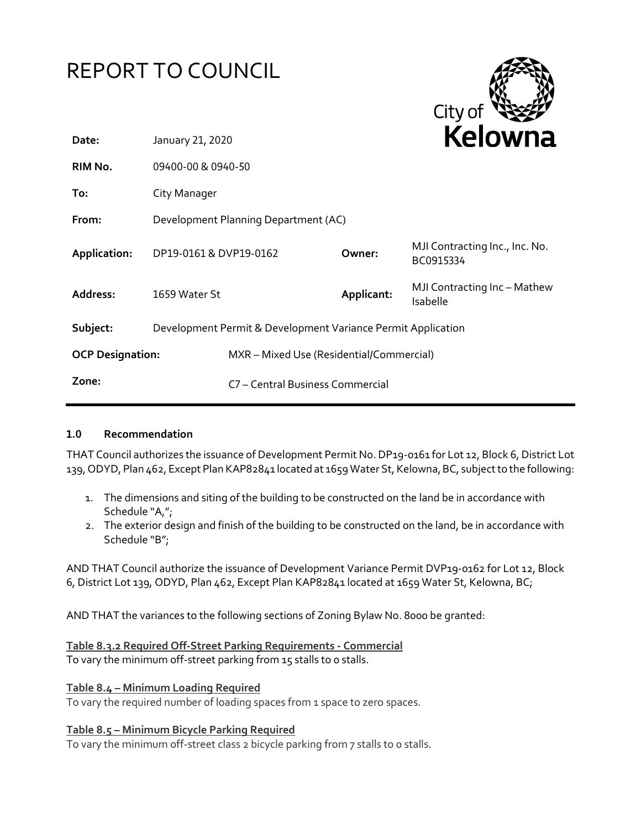| REPORT TO COUNCIL       |                                                              |                                          |            | City of                                     |
|-------------------------|--------------------------------------------------------------|------------------------------------------|------------|---------------------------------------------|
| Date:                   | January 21, 2020                                             |                                          |            | Kelowna                                     |
| RIM No.                 | 09400-00 & 0940-50                                           |                                          |            |                                             |
| To:                     | City Manager                                                 |                                          |            |                                             |
| From:                   |                                                              | Development Planning Department (AC)     |            |                                             |
| Application:            | DP19-0161 & DVP19-0162                                       |                                          | Owner:     | MJI Contracting Inc., Inc. No.<br>BC0915334 |
| Address:                | 1659 Water St                                                |                                          | Applicant: | MJI Contracting Inc - Mathew<br>Isabelle    |
| Subject:                | Development Permit & Development Variance Permit Application |                                          |            |                                             |
| <b>OCP Designation:</b> |                                                              | MXR - Mixed Use (Residential/Commercial) |            |                                             |
| Zone:                   |                                                              | C7 - Central Business Commercial         |            |                                             |

## **1.0 Recommendation**

THAT Council authorizes the issuance of Development Permit No. DP19-0161 for Lot 12, Block 6, District Lot 139, ODYD, Plan 462, Except Plan KAP82841 located at 1659 Water St, Kelowna, BC, subject to the following:

- 1. The dimensions and siting of the building to be constructed on the land be in accordance with Schedule "A,";
- 2. The exterior design and finish of the building to be constructed on the land, be in accordance with Schedule "B";

AND THAT Council authorize the issuance of Development Variance Permit DVP19-0162 for Lot 12, Block 6, District Lot 139, ODYD, Plan 462, Except Plan KAP82841 located at 1659 Water St, Kelowna, BC;

AND THAT the variances to the following sections of Zoning Bylaw No. 8000 be granted:

**Table 8.3.2 Required Off-Street Parking Requirements - Commercial** To vary the minimum off-street parking from 15 stalls to 0 stalls.

# **Table 8.4 – Minimum Loading Required**

To vary the required number of loading spaces from 1 space to zero spaces.

## **Table 8.5 – Minimum Bicycle Parking Required**

To vary the minimum off-street class 2 bicycle parking from 7 stalls to 0 stalls.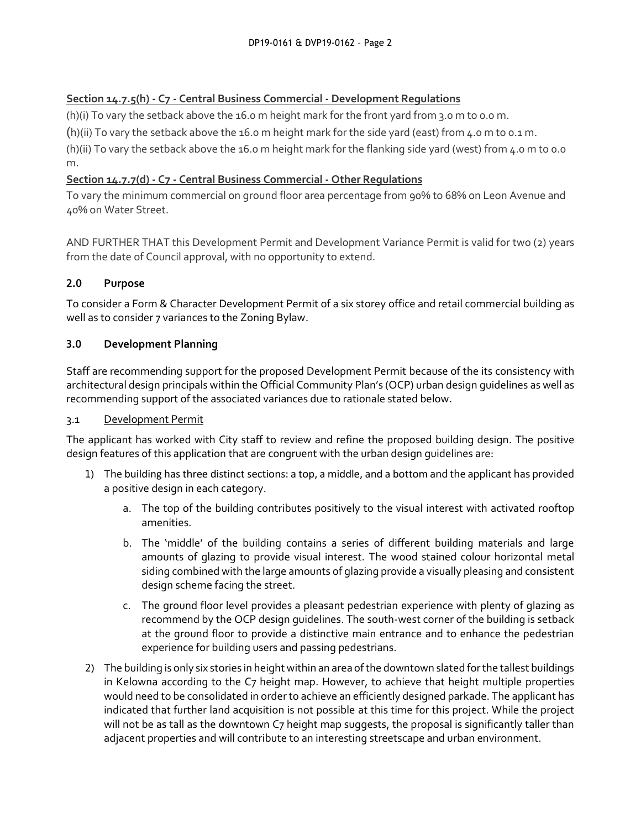# **Section 14.7.5(h) - C7 - Central Business Commercial - Development Regulations**

(h)(i) To vary the setback above the 16.0 m height mark for the front yard from 3.0 m to 0.0 m.

(h)(ii) To vary the setback above the 16.0 m height mark for the side yard (east) from 4.0 m to 0.1 m.

(h)(ii) To vary the setback above the 16.0 m height mark for the flanking side yard (west) from 4.0 m to 0.0 m.

# **Section 14.7.7(d) - C7 - Central Business Commercial - Other Regulations**

To vary the minimum commercial on ground floor area percentage from 90% to 68% on Leon Avenue and 40% on Water Street.

AND FURTHER THAT this Development Permit and Development Variance Permit is valid for two (2) years from the date of Council approval, with no opportunity to extend.

# **2.0 Purpose**

To consider a Form & Character Development Permit of a six storey office and retail commercial building as well as to consider 7 variances to the Zoning Bylaw.

## **3.0 Development Planning**

Staff are recommending support for the proposed Development Permit because of the its consistency with architectural design principals within the Official Community Plan's (OCP) urban design guidelines as well as recommending support of the associated variances due to rationale stated below.

### 3.1 Development Permit

The applicant has worked with City staff to review and refine the proposed building design. The positive design features of this application that are congruent with the urban design guidelines are:

- 1) The building has three distinct sections: a top, a middle, and a bottom and the applicant has provided a positive design in each category.
	- a. The top of the building contributes positively to the visual interest with activated rooftop amenities.
	- b. The 'middle' of the building contains a series of different building materials and large amounts of glazing to provide visual interest. The wood stained colour horizontal metal siding combined with the large amounts of glazing provide a visually pleasing and consistent design scheme facing the street.
	- c. The ground floor level provides a pleasant pedestrian experience with plenty of glazing as recommend by the OCP design guidelines. The south-west corner of the building is setback at the ground floor to provide a distinctive main entrance and to enhance the pedestrian experience for building users and passing pedestrians.
- 2) The building is only six stories in height within an area of the downtown slated for the tallest buildings in Kelowna according to the C7 height map. However, to achieve that height multiple properties would need to be consolidated in order to achieve an efficiently designed parkade. The applicant has indicated that further land acquisition is not possible at this time for this project. While the project will not be as tall as the downtown C7 height map suggests, the proposal is significantly taller than adjacent properties and will contribute to an interesting streetscape and urban environment.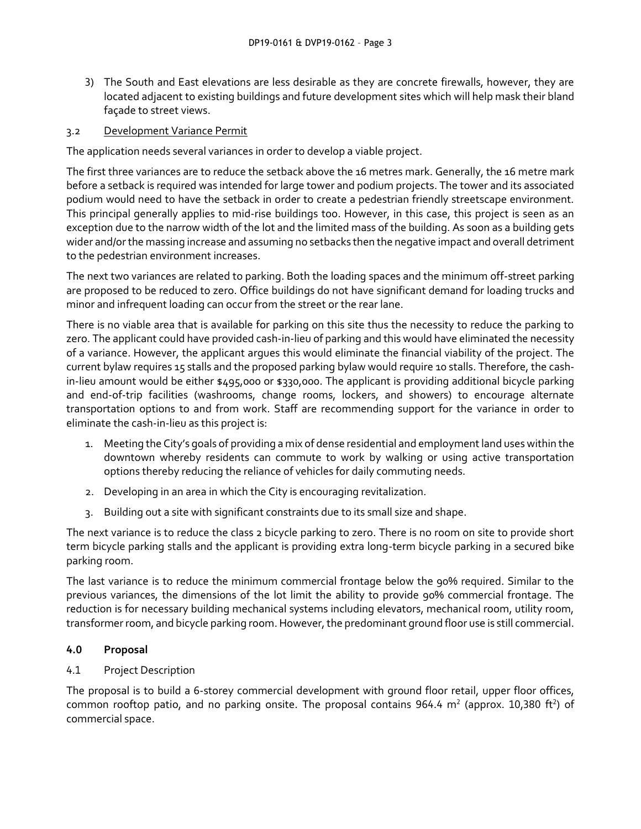3) The South and East elevations are less desirable as they are concrete firewalls, however, they are located adjacent to existing buildings and future development sites which will help mask their bland façade to street views.

### 3.2 Development Variance Permit

The application needs several variances in order to develop a viable project.

The first three variances are to reduce the setback above the 16 metres mark. Generally, the 16 metre mark before a setback is required was intended for large tower and podium projects. The tower and its associated podium would need to have the setback in order to create a pedestrian friendly streetscape environment. This principal generally applies to mid-rise buildings too. However, in this case, this project is seen as an exception due to the narrow width of the lot and the limited mass of the building. As soon as a building gets wider and/or the massing increase and assuming no setbacks then the negative impact and overall detriment to the pedestrian environment increases.

The next two variances are related to parking. Both the loading spaces and the minimum off-street parking are proposed to be reduced to zero. Office buildings do not have significant demand for loading trucks and minor and infrequent loading can occur from the street or the rear lane.

There is no viable area that is available for parking on this site thus the necessity to reduce the parking to zero. The applicant could have provided cash-in-lieu of parking and this would have eliminated the necessity of a variance. However, the applicant argues this would eliminate the financial viability of the project. The current bylaw requires 15 stalls and the proposed parking bylaw would require 10 stalls. Therefore, the cashin-lieu amount would be either \$495,000 or \$330,000. The applicant is providing additional bicycle parking and end-of-trip facilities (washrooms, change rooms, lockers, and showers) to encourage alternate transportation options to and from work. Staff are recommending support for the variance in order to eliminate the cash-in-lieu as this project is:

- 1. Meeting the City's goals of providing a mix of dense residential and employment land uses within the downtown whereby residents can commute to work by walking or using active transportation options thereby reducing the reliance of vehicles for daily commuting needs.
- 2. Developing in an area in which the City is encouraging revitalization.
- 3. Building out a site with significant constraints due to its small size and shape.

The next variance is to reduce the class 2 bicycle parking to zero. There is no room on site to provide short term bicycle parking stalls and the applicant is providing extra long-term bicycle parking in a secured bike parking room.

The last variance is to reduce the minimum commercial frontage below the 90% required. Similar to the previous variances, the dimensions of the lot limit the ability to provide 90% commercial frontage. The reduction is for necessary building mechanical systems including elevators, mechanical room, utility room, transformer room, and bicycle parking room. However, the predominant ground floor use is still commercial.

#### **4.0 Proposal**

#### 4.1 Project Description

The proposal is to build a 6-storey commercial development with ground floor retail, upper floor offices, common rooftop patio, and no parking onsite. The proposal contains 964.4  $m<sup>2</sup>$  (approx. 10,380 ft<sup>2</sup>) of commercial space.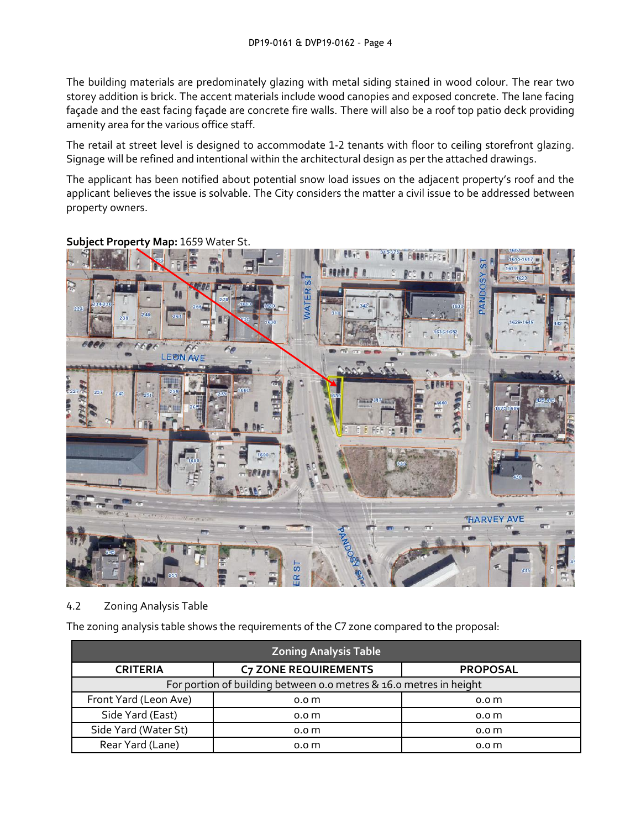The building materials are predominately glazing with metal siding stained in wood colour. The rear two storey addition is brick. The accent materials include wood canopies and exposed concrete. The lane facing façade and the east facing façade are concrete fire walls. There will also be a roof top patio deck providing amenity area for the various office staff.

The retail at street level is designed to accommodate 1-2 tenants with floor to ceiling storefront glazing. Signage will be refined and intentional within the architectural design as per the attached drawings.

The applicant has been notified about potential snow load issues on the adjacent property's roof and the applicant believes the issue is solvable. The City considers the matter a civil issue to be addressed between property owners.



**Subject Property Map:** 1659 Water St.

# 4.2 Zoning Analysis Table

The zoning analysis table shows the requirements of the C7 zone compared to the proposal:

| <b>Zoning Analysis Table</b>                                       |                             |                  |  |  |  |
|--------------------------------------------------------------------|-----------------------------|------------------|--|--|--|
| <b>CRITERIA</b>                                                    | <b>C7 ZONE REQUIREMENTS</b> | <b>PROPOSAL</b>  |  |  |  |
| For portion of building between o.o metres & 16.0 metres in height |                             |                  |  |  |  |
| Front Yard (Leon Ave)                                              | 0.0 <sub>m</sub>            | 0.0 <sub>m</sub> |  |  |  |
| Side Yard (East)                                                   | 0.0 <sub>m</sub>            | 0.0 <sub>m</sub> |  |  |  |
| Side Yard (Water St)                                               | 0.0 <sub>m</sub>            | 0.0 <sub>m</sub> |  |  |  |
| Rear Yard (Lane)                                                   | 0.0 <sub>m</sub>            | 0.0 <sub>m</sub> |  |  |  |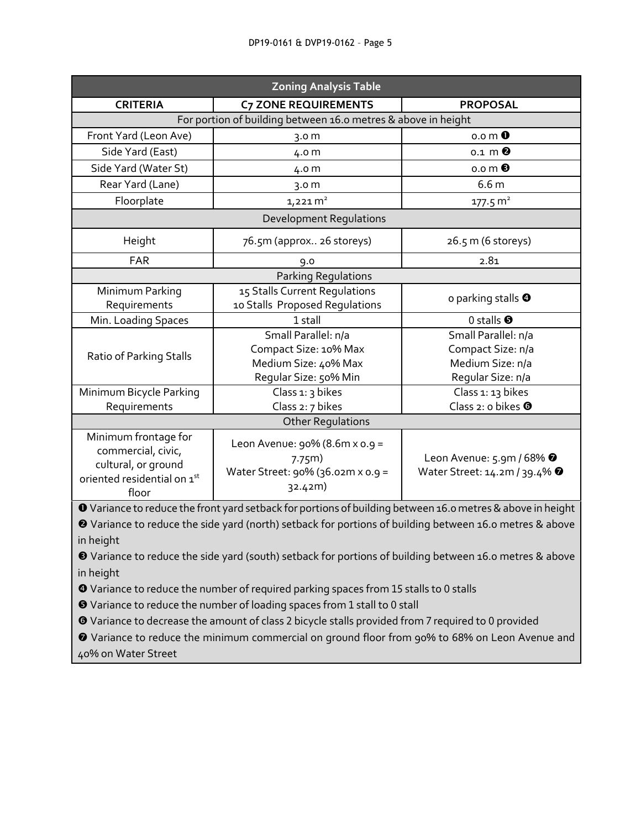| <b>Zoning Analysis Table</b>                                                                              |                                                                                             |                                                                                  |  |  |  |
|-----------------------------------------------------------------------------------------------------------|---------------------------------------------------------------------------------------------|----------------------------------------------------------------------------------|--|--|--|
| <b>CRITERIA</b>                                                                                           | <b>C7 ZONE REQUIREMENTS</b>                                                                 | <b>PROPOSAL</b>                                                                  |  |  |  |
| For portion of building between 16.0 metres & above in height                                             |                                                                                             |                                                                                  |  |  |  |
| Front Yard (Leon Ave)                                                                                     | 3.0 <sub>m</sub>                                                                            | $0.0 \, \text{m}$ 0                                                              |  |  |  |
| Side Yard (East)                                                                                          | 4.0 m                                                                                       | $0.1 \text{ m}$ <sup><math>\odot</math></sup>                                    |  |  |  |
| Side Yard (Water St)                                                                                      | 4.0 m                                                                                       | $0.0 \, \text{m}$ $\odot$                                                        |  |  |  |
| Rear Yard (Lane)                                                                                          | 3.0 <sub>m</sub>                                                                            | 6.6 <sub>m</sub>                                                                 |  |  |  |
| Floorplate                                                                                                | $1,221 \text{ m}^2$                                                                         | $177.5 \text{ m}^2$                                                              |  |  |  |
| <b>Development Regulations</b>                                                                            |                                                                                             |                                                                                  |  |  |  |
| Height                                                                                                    | 76.5m (approx 26 storeys)                                                                   | 26.5 m (6 storeys)                                                               |  |  |  |
| <b>FAR</b>                                                                                                | 9.0                                                                                         | 2.81                                                                             |  |  |  |
| Parking Regulations                                                                                       |                                                                                             |                                                                                  |  |  |  |
| Minimum Parking                                                                                           | 15 Stalls Current Regulations                                                               | o parking stalls <sup>O</sup>                                                    |  |  |  |
| Requirements                                                                                              | 10 Stalls Proposed Regulations                                                              |                                                                                  |  |  |  |
| Min. Loading Spaces                                                                                       | 1 stall                                                                                     | 0 stalls $\Theta$                                                                |  |  |  |
|                                                                                                           | Small Parallel: n/a                                                                         | Small Parallel: n/a                                                              |  |  |  |
| Ratio of Parking Stalls                                                                                   | Compact Size: 10% Max                                                                       | Compact Size: n/a                                                                |  |  |  |
|                                                                                                           | Medium Size: 40% Max                                                                        | Medium Size: n/a                                                                 |  |  |  |
|                                                                                                           | Regular Size: 50% Min                                                                       | Regular Size: n/a                                                                |  |  |  |
| Minimum Bicycle Parking                                                                                   | Class 1: 3 bikes                                                                            | Class 1: 13 bikes                                                                |  |  |  |
| Requirements                                                                                              | Class 2: 7 bikes                                                                            | Class 2: $o$ bikes $\odot$                                                       |  |  |  |
| <b>Other Regulations</b>                                                                                  |                                                                                             |                                                                                  |  |  |  |
| Minimum frontage for<br>commercial, civic,<br>cultural, or ground<br>oriented residential on 1st<br>floor | Leon Avenue: $90\%$ (8.6m x o.g =<br>7.75m)<br>Water Street: 90% (36.02m x 0.9 =<br>32.42m) | Leon Avenue: 5.9m / 68% <sup>0</sup><br>Water Street: 14.2m / 39.4% <sup>0</sup> |  |  |  |

Variance to reduce the front yard setback for portions of building between 16.0 metres & above in height

 Variance to reduce the side yard (north) setback for portions of building between 16.0 metres & above in height

 Variance to reduce the side yard (south) setback for portions of building between 16.0 metres & above in height

Variance to reduce the number of required parking spaces from 15 stalls to 0 stalls

Variance to reduce the number of loading spaces from 1 stall to 0 stall

Variance to decrease the amount of class 2 bicycle stalls provided from 7 required to 0 provided

 Variance to reduce the minimum commercial on ground floor from 90% to 68% on Leon Avenue and 40% on Water Street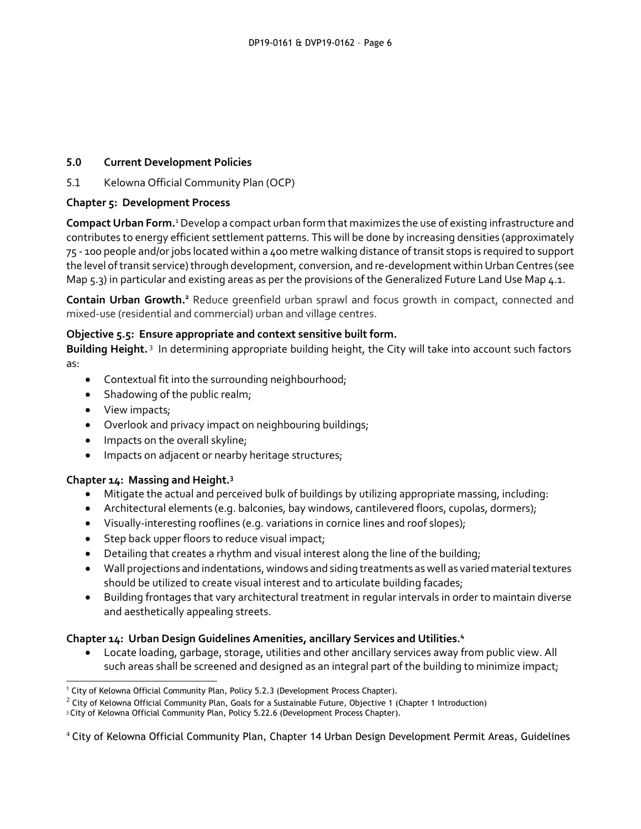## **5.0 Current Development Policies**

5.1 Kelowna Official Community Plan (OCP)

## **Chapter 5: Development Process**

**Compact Urban Form.**<sup>1</sup>Develop a compact urban form that maximizes the use of existing infrastructure and contributes to energy efficient settlement patterns. This will be done by increasing densities (approximately 75 - 100 people and/or jobs located within a 400 metre walking distance of transit stops is required to support the level of transit service) through development, conversion, and re-development within Urban Centres (see Map 5.3) in particular and existing areas as per the provisions of the Generalized Future Land Use Map 4.1.

**Contain Urban Growth.<sup>2</sup>** Reduce greenfield urban sprawl and focus growth in compact, connected and mixed-use (residential and commercial) urban and village centres.

## **Objective 5.5: Ensure appropriate and context sensitive built form.**

Building Height.<sup>3</sup> In determining appropriate building height, the City will take into account such factors as:

- Contextual fit into the surrounding neighbourhood;
- Shadowing of the public realm;
- View impacts;

1

- Overlook and privacy impact on neighbouring buildings;
- Impacts on the overall skyline;
- Impacts on adjacent or nearby heritage structures;

## **Chapter 14: Massing and Height.<sup>3</sup>**

- Mitigate the actual and perceived bulk of buildings by utilizing appropriate massing, including:
- Architectural elements (e.g. balconies, bay windows, cantilevered floors, cupolas, dormers);
- Visually-interesting rooflines (e.g. variations in cornice lines and roof slopes);
- Step back upper floors to reduce visual impact;
- Detailing that creates a rhythm and visual interest along the line of the building;
- Wall projections and indentations, windows and siding treatments as well as varied material textures should be utilized to create visual interest and to articulate building facades;
- Building frontages that vary architectural treatment in regular intervals in order to maintain diverse and aesthetically appealing streets.

## **Chapter 14: Urban Design Guidelines Amenities, ancillary Services and Utilities.<sup>4</sup>**

 Locate loading, garbage, storage, utilities and other ancillary services away from public view. All such areas shall be screened and designed as an integral part of the building to minimize impact;

<sup>&</sup>lt;sup>1</sup> City of Kelowna Official Community Plan, Policy 5.2.3 (Development Process Chapter).

 $2$  City of Kelowna Official Community Plan, Goals for a Sustainable Future, Objective 1 (Chapter 1 Introduction)

<sup>&</sup>lt;sup>3</sup> City of Kelowna Official Community Plan, Policy 5.22.6 (Development Process Chapter).

<sup>4</sup> City of Kelowna Official Community Plan, Chapter 14 Urban Design Development Permit Areas, Guidelines